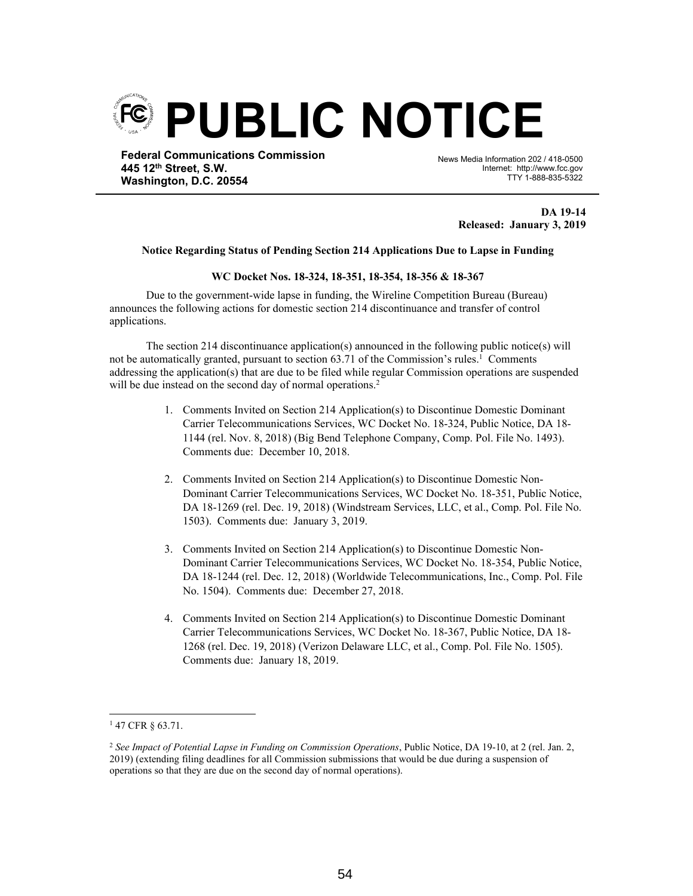

**445 12th Street, S.W. Washington, D.C. 20554** News Media Information 202 / 418-0500 Internet: http://www.fcc.gov TTY 1-888-835-5322

> **DA 19-14 Released: January 3, 2019**

## **Notice Regarding Status of Pending Section 214 Applications Due to Lapse in Funding**

Ī

## **WC Docket Nos. 18-324, 18-351, 18-354, 18-356 & 18-367**

Due to the government-wide lapse in funding, the Wireline Competition Bureau (Bureau) announces the following actions for domestic section 214 discontinuance and transfer of control applications.

The section 214 discontinuance application(s) announced in the following public notice(s) will not be automatically granted, pursuant to section 63.71 of the Commission's rules.<sup>1</sup> Comments addressing the application(s) that are due to be filed while regular Commission operations are suspended will be due instead on the second day of normal operations.<sup>2</sup>

- 1. Comments Invited on Section 214 Application(s) to Discontinue Domestic Dominant Carrier Telecommunications Services, WC Docket No. 18-324, Public Notice, DA 18- 1144 (rel. Nov. 8, 2018) (Big Bend Telephone Company, Comp. Pol. File No. 1493). Comments due: December 10, 2018.
- 2. Comments Invited on Section 214 Application(s) to Discontinue Domestic Non-Dominant Carrier Telecommunications Services, WC Docket No. 18-351, Public Notice, DA 18-1269 (rel. Dec. 19, 2018) (Windstream Services, LLC, et al., Comp. Pol. File No. 1503). Comments due: January 3, 2019.
- 3. Comments Invited on Section 214 Application(s) to Discontinue Domestic Non-Dominant Carrier Telecommunications Services, WC Docket No. 18-354, Public Notice, DA 18-1244 (rel. Dec. 12, 2018) (Worldwide Telecommunications, Inc., Comp. Pol. File No. 1504). Comments due: December 27, 2018.
- 4. Comments Invited on Section 214 Application(s) to Discontinue Domestic Dominant Carrier Telecommunications Services, WC Docket No. 18-367, Public Notice, DA 18- 1268 (rel. Dec. 19, 2018) (Verizon Delaware LLC, et al., Comp. Pol. File No. 1505). Comments due: January 18, 2019.

<sup>1</sup> 47 CFR § 63.71.

<sup>2</sup> *See Impact of Potential Lapse in Funding on Commission Operations*, Public Notice, DA 19-10, at 2 (rel. Jan. 2, 2019) (extending filing deadlines for all Commission submissions that would be due during a suspension of operations so that they are due on the second day of normal operations).